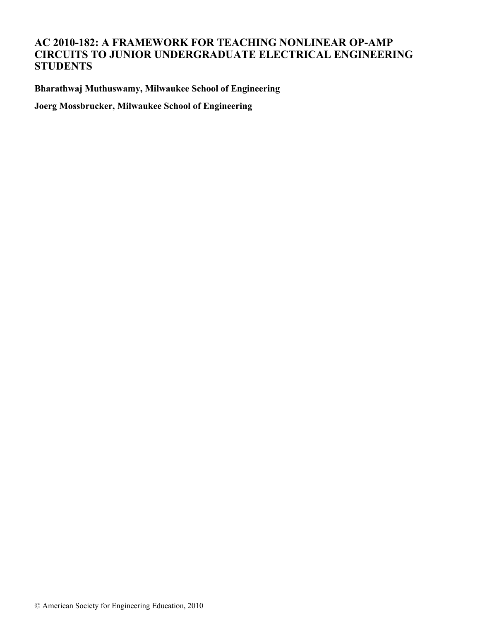## **AC 2010-182: A FRAMEWORK FOR TEACHING NONLINEAR OP-AMP CIRCUITS TO JUNIOR UNDERGRADUATE ELECTRICAL ENGINEERING STUDENTS**

**Bharathwaj Muthuswamy, Milwaukee School of Engineering**

**Joerg Mossbrucker, Milwaukee School of Engineering**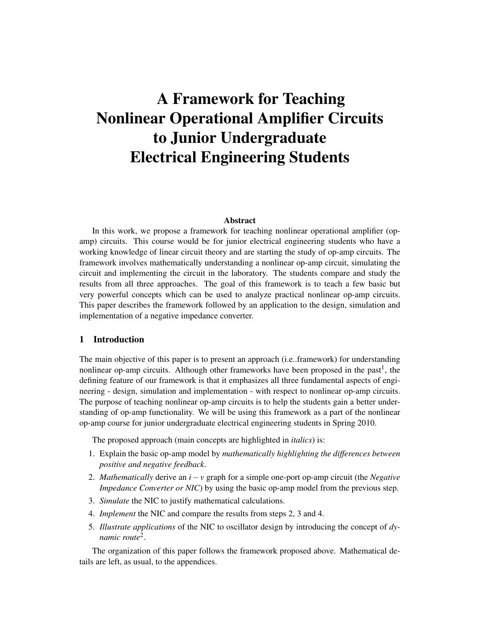# A Framework for Teaching Nonlinear Operational Amplifier Circuits to Junior Undergraduate Electrical Engineering Students

#### Abstract

In this work, we propose a framework for teaching nonlinear operational amplifier (opamp) circuits. This course would be for junior electrical engineering students who have a working knowledge of linear circuit theory and are starting the study of op-amp circuits. The framework involves mathematically understanding a nonlinear op-amp circuit, simulating the circuit and implementing the circuit in the laboratory. The students compare and study the results from all three approaches. The goal of this framework is to teach a few basic but very powerful concepts which can be used to analyze practical nonlinear op-amp circuits. This paper describes the framework followed by an application to the design, simulation and implementation of a negative impedance converter.

#### 1 Introduction

The main objective of this paper is to present an approach (i.e..framework) for understanding nonlinear op-amp circuits. Although other frameworks have been proposed in the past<sup>1</sup>, the defining feature of our framework is that it emphasizes all three fundamental aspects of engineering - design, simulation and implementation - with respect to nonlinear op-amp circuits. The purpose of teaching nonlinear op-amp circuits is to help the students gain a better understanding of op-amp functionality. We will be using this framework as a part of the nonlinear op-amp course for junior undergraduate electrical engineering students in Spring 2010.

The proposed approach (main concepts are highlighted in *italics*) is:

- 1. Explain the basic op-amp model by *mathematically highlighting the differences between positive and negative feedback*.
- 2. *Mathematically* derive an *i*−*v* graph for a simple one-port op-amp circuit (the *Negative Impedance Converter or NIC*) by using the basic op-amp model from the previous step.
- 3. *Simulate* the NIC to justify mathematical calculations.
- 4. *Implement* the NIC and compare the results from steps 2, 3 and 4.
- 5. *Illustrate applications* of the NIC to oscillator design by introducing the concept of *dynamic route*<sup>2</sup> .

The organization of this paper follows the framework proposed above. Mathematical details are left, as usual, to the appendices.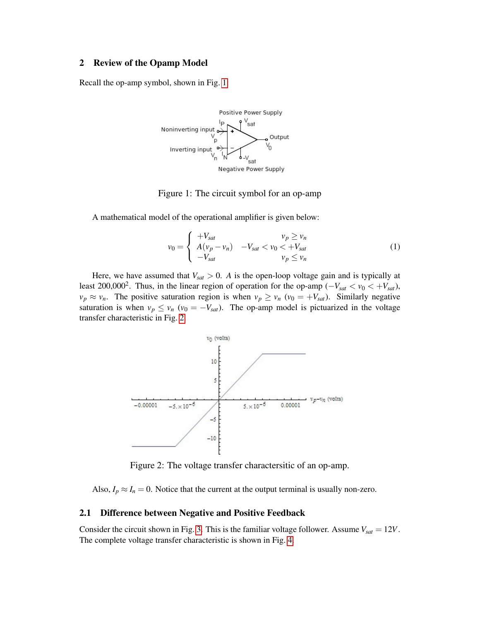## 2 Review of the Opamp Model

Recall the op-amp symbol, shown in Fig. [1:](#page-2-0)



## <span id="page-2-0"></span>Figure 1: The circuit symbol for an op-amp

A mathematical model of the operational amplifier is given below:

<span id="page-2-2"></span>
$$
v_0 = \begin{cases} +V_{sat} & v_p \ge v_n \\ A(v_p - v_n) & -V_{sat} < v_0 < +V_{sat} \\ -V_{sat} & v_p \le v_n \end{cases}
$$
 (1)

Here, we have assumed that  $V_{sat} > 0$ . A is the open-loop voltage gain and is typically at least 200,000<sup>2</sup>. Thus, in the linear region of operation for the op-amp ( $-V_{sat} < v_0 < +V_{sat}$ ),  $v_p \approx v_n$ . The positive saturation region is when  $v_p \ge v_n$  ( $v_0 = +V_{sat}$ ). Similarly negative saturation is when  $v_p \le v_n$  ( $v_0 = -V_{sat}$ ). The op-amp model is pictuarized in the voltage transfer characteristic in Fig. [2.](#page-2-1)



<span id="page-2-1"></span>Figure 2: The voltage transfer charactersitic of an op-amp.

Also,  $I_p \approx I_n = 0$ . Notice that the current at the output terminal is usually non-zero.

#### 2.1 Difference between Negative and Positive Feedback

Consider the circuit shown in Fig. [3.](#page-3-0) This is the familiar voltage follower. Assume  $V_{sat} = 12V$ . The complete voltage transfer characteristic is shown in Fig. [4.](#page-3-1)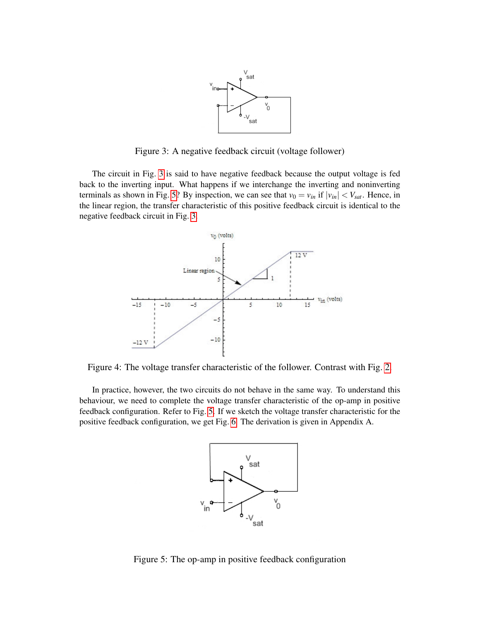<span id="page-3-0"></span>

Figure 3: A negative feedback circuit (voltage follower)

The circuit in Fig. [3](#page-3-0) is said to have negative feedback because the output voltage is fed back to the inverting input. What happens if we interchange the inverting and noninverting terminals as shown in Fig. [5?](#page-3-2) By inspection, we can see that  $v_0 = v_{in}$  if  $|v_{in}| < V_{sat}$ . Hence, in the linear region, the transfer characteristic of this positive feedback circuit is identical to the negative feedback circuit in Fig. [3.](#page-3-0)



Figure 4: The voltage transfer characteristic of the follower. Contrast with Fig. [2.](#page-2-1)

In practice, however, the two circuits do not behave in the same way. To understand this behaviour, we need to complete the voltage transfer characteristic of the op-amp in positive feedback configuration. Refer to Fig. [5.](#page-3-2) If we sketch the voltage transfer characteristic for the positive feedback configuration, we get Fig. [6.](#page-4-0) The derivation is given in Appendix A.

<span id="page-3-2"></span><span id="page-3-1"></span>

Figure 5: The op-amp in positive feedback configuration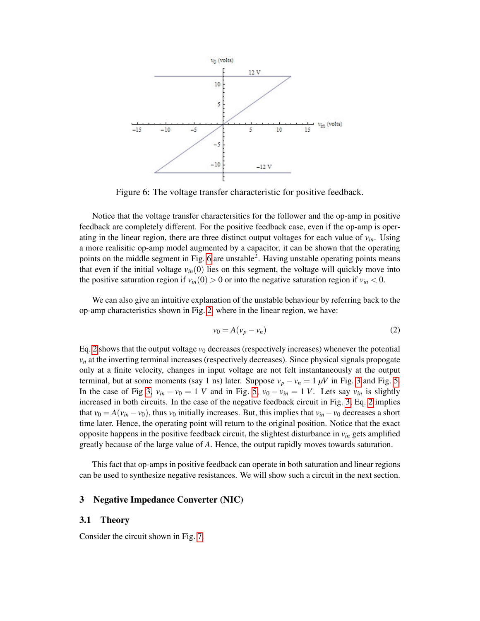

Figure 6: The voltage transfer characteristic for positive feedback.

Notice that the voltage transfer charactersitics for the follower and the op-amp in positive feedback are completely different. For the positive feedback case, even if the op-amp is operating in the linear region, there are three distinct output voltages for each value of *vin*. Using a more realisitic op-amp model augmented by a capacitor, it can be shown that the operating points on the middle segment in Fig. [6](#page-4-0) are unstable<sup>2</sup>. Having unstable operating points means that even if the initial voltage  $v_{in}(0)$  lies on this segment, the voltage will quickly move into the positive saturation region if  $v_{in}(0) > 0$  or into the negative saturation region if  $v_{in} < 0$ .

We can also give an intuitive explanation of the unstable behaviour by referring back to the op-amp characteristics shown in Fig. [2,](#page-2-1) where in the linear region, we have:

<span id="page-4-1"></span><span id="page-4-0"></span>
$$
v_0 = A(v_p - v_n) \tag{2}
$$

Eq. [2](#page-4-1) shows that the output voltage  $v_0$  decreases (respectively increases) whenever the potential  $v_n$  at the inverting terminal increases (respectively decreases). Since physical signals propogate only at a finite velocity, changes in input voltage are not felt instantaneously at the output terminal, but at some moments (say 1 ns) later. Suppose  $v_p - v_n = 1 \mu V$  in Fig. [3](#page-3-0) and Fig. [5.](#page-3-2) In the case of Fig [3,](#page-3-0)  $v_{in} - v_0 = 1$  *V* and in Fig. [5,](#page-3-2)  $v_0 - v_{in} = 1$  *V*. Lets say  $v_{in}$  is slightly increased in both circuits. In the case of the negative feedback circuit in Fig. [3,](#page-3-0) Eq. [2](#page-4-1) implies that  $v_0 = A(v_{in} - v_0)$ , thus  $v_0$  initially increases. But, this implies that  $v_{in} - v_0$  decreases a short time later. Hence, the operating point will return to the original position. Notice that the exact opposite happens in the positive feedback circuit, the slightest disturbance in *vin* gets amplified greatly because of the large value of *A*. Hence, the output rapidly moves towards saturation.

This fact that op-amps in positive feedback can operate in both saturation and linear regions can be used to synthesize negative resistances. We will show such a circuit in the next section.

## 3 Negative Impedance Converter (NIC)

#### 3.1 Theory

Consider the circuit shown in Fig. [7.](#page-5-0)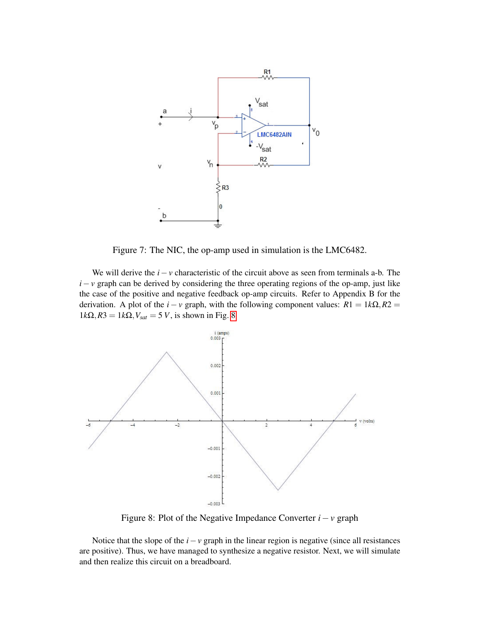

<span id="page-5-0"></span>Figure 7: The NIC, the op-amp used in simulation is the LMC6482.

We will derive the *i*−*v* characteristic of the circuit above as seen from terminals a-b. The *i*−*v* graph can be derived by considering the three operating regions of the op-amp, just like the case of the positive and negative feedback op-amp circuits. Refer to Appendix B for the derivation. A plot of the  $i - v$  graph, with the following component values:  $R1 = 1k\Omega$ ,  $R2 =$  $1k\Omega$ ,  $R3 = 1k\Omega$ ,  $V_{sat} = 5 V$ , is shown in Fig. [8](#page-5-1)



<span id="page-5-1"></span>Figure 8: Plot of the Negative Impedance Converter *i*−*v* graph

Notice that the slope of the  $i - v$  graph in the linear region is negative (since all resistances are positive). Thus, we have managed to synthesize a negative resistor. Next, we will simulate and then realize this circuit on a breadboard.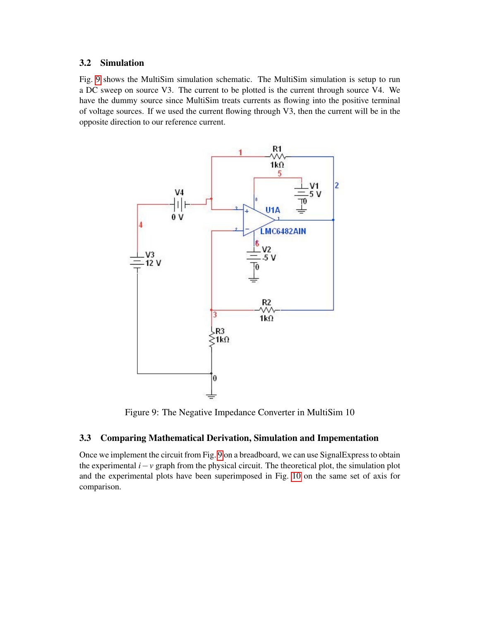## 3.2 Simulation

Fig. [9](#page-6-0) shows the MultiSim simulation schematic. The MultiSim simulation is setup to run a DC sweep on source V3. The current to be plotted is the current through source V4. We have the dummy source since MultiSim treats currents as flowing into the positive terminal of voltage sources. If we used the current flowing through V3, then the current will be in the opposite direction to our reference current.



<span id="page-6-0"></span>Figure 9: The Negative Impedance Converter in MultiSim 10

## 3.3 Comparing Mathematical Derivation, Simulation and Impementation

Once we implement the circuit from Fig. [9](#page-6-0) on a breadboard, we can use SignalExpress to obtain the experimental  $i - v$  graph from the physical circuit. The theoretical plot, the simulation plot and the experimental plots have been superimposed in Fig. [10](#page-7-0) on the same set of axis for comparison.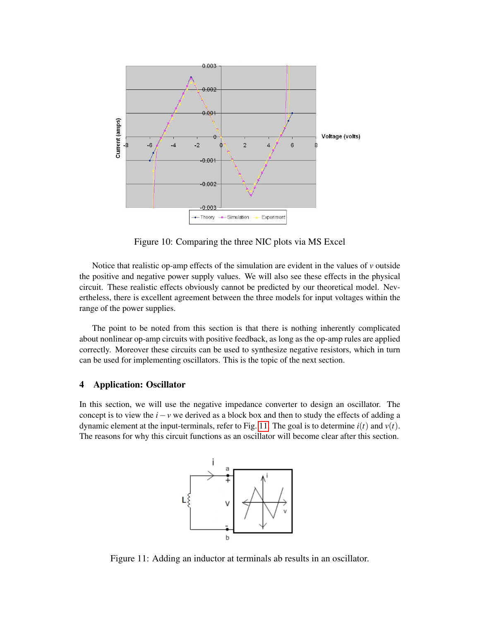

<span id="page-7-0"></span>Figure 10: Comparing the three NIC plots via MS Excel

Notice that realistic op-amp effects of the simulation are evident in the values of  $\nu$  outside the positive and negative power supply values. We will also see these effects in the physical circuit. These realistic effects obviously cannot be predicted by our theoretical model. Nevertheless, there is excellent agreement between the three models for input voltages within the range of the power supplies.

The point to be noted from this section is that there is nothing inherently complicated about nonlinear op-amp circuits with positive feedback, as long as the op-amp rules are applied correctly. Moreover these circuits can be used to synthesize negative resistors, which in turn can be used for implementing oscillators. This is the topic of the next section.

#### 4 Application: Oscillator

In this section, we will use the negative impedance converter to design an oscillator. The concept is to view the *i*−*v* we derived as a block box and then to study the effects of adding a dynamic element at the input-terminals, refer to Fig. [11.](#page-7-1) The goal is to determine  $i(t)$  and  $v(t)$ . The reasons for why this circuit functions as an oscillator will become clear after this section.

<span id="page-7-1"></span>

Figure 11: Adding an inductor at terminals ab results in an oscillator.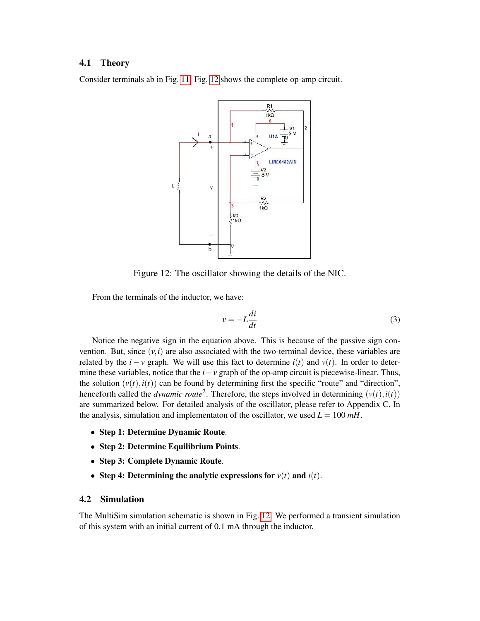#### 4.1 Theory

Consider terminals ab in Fig. [11.](#page-7-1) Fig. [12](#page-8-0) shows the complete op-amp circuit.



Figure 12: The oscillator showing the details of the NIC.

From the terminals of the inductor, we have:

<span id="page-8-1"></span><span id="page-8-0"></span>
$$
v = -L\frac{di}{dt} \tag{3}
$$

Notice the negative sign in the equation above. This is because of the passive sign convention. But, since  $(v, i)$  are also associated with the two-terminal device, these variables are related by the *i* − *v* graph. We will use this fact to determine  $i(t)$  and  $v(t)$ . In order to determine these variables, notice that the *i*−*v* graph of the op-amp circuit is piecewise-linear. Thus, the solution  $(v(t), i(t))$  can be found by determining first the specific "route" and "direction", henceforth called the *dynamic route*<sup>2</sup>. Therefore, the steps involved in determining  $(v(t), i(t))$ are summarized below. For detailed analysis of the oscillator, please refer to Appendix C. In the analysis, simulation and implementaton of the oscillator, we used  $L = 100$   $mH$ .

- Step 1: Determine Dynamic Route.
- Step 2: Determine Equilibrium Points.
- Step 3: Complete Dynamic Route.
- Step 4: Determining the analytic expressions for  $v(t)$  and  $i(t)$ .

#### 4.2 Simulation

The MultiSim simulation schematic is shown in Fig. [12.](#page-8-0) We performed a transient simulation of this system with an initial current of 0.1 mA through the inductor.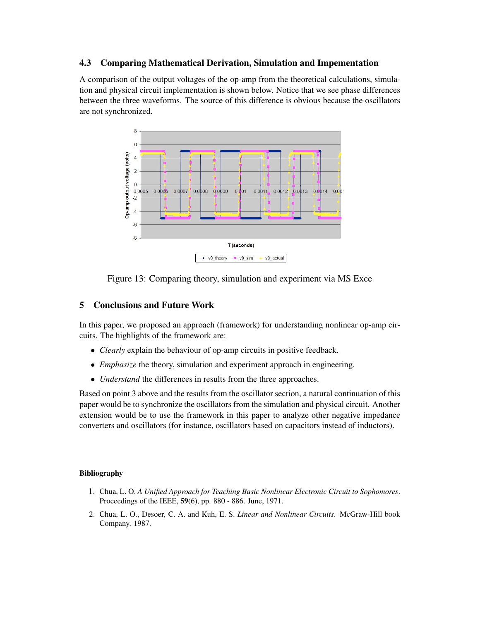## 4.3 Comparing Mathematical Derivation, Simulation and Impementation

A comparison of the output voltages of the op-amp from the theoretical calculations, simulation and physical circuit implementation is shown below. Notice that we see phase differences between the three waveforms. The source of this difference is obvious because the oscillators are not synchronized.



Figure 13: Comparing theory, simulation and experiment via MS Exce

## 5 Conclusions and Future Work

In this paper, we proposed an approach (framework) for understanding nonlinear op-amp circuits. The highlights of the framework are:

- *Clearly* explain the behaviour of op-amp circuits in positive feedback.
- *Emphasize* the theory, simulation and experiment approach in engineering.
- *Understand* the differences in results from the three approaches.

Based on point 3 above and the results from the oscillator section, a natural continuation of this paper would be to synchronize the oscillators from the simulation and physical circuit. Another extension would be to use the framework in this paper to analyze other negative impedance converters and oscillators (for instance, oscillators based on capacitors instead of inductors).

#### Bibliography

- 1. Chua, L. O. *A Unified Approach for Teaching Basic Nonlinear Electronic Circuit to Sophomores*. Proceedings of the IEEE, 59(6), pp. 880 - 886. June, 1971.
- 2. Chua, L. O., Desoer, C. A. and Kuh, E. S. *Linear and Nonlinear Circuits*. McGraw-Hill book Company. 1987.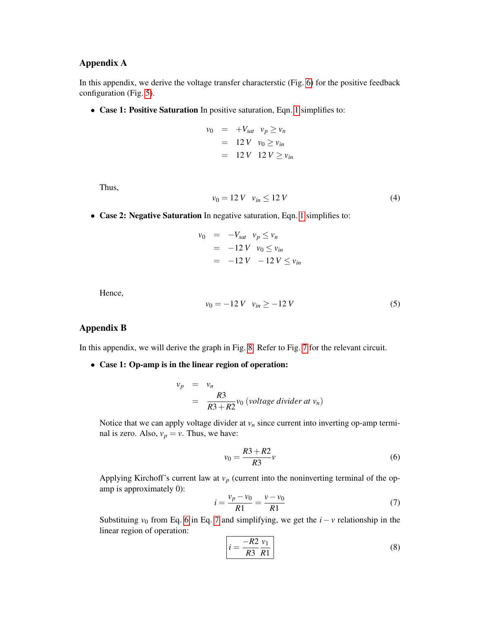## Appendix A

In this appendix, we derive the voltage transfer characterstic (Fig. [6\)](#page-4-0) for the positive feedback configuration (Fig. [5\)](#page-3-2).

• Case 1: Positive Saturation In positive saturation, Eqn. [1](#page-2-2) simplifies to:

$$
v_0 = +V_{sat} \quad v_p \ge v_n
$$
  
= 12 V \quad v\_0 \ge v\_{in}  
= 12 V \quad 12 V \ge v\_{in}

Thus,

$$
v_0 = 12 V \quad v_{in} \le 12 V \tag{4}
$$

• Case 2: Negative Saturation In negative saturation, Eqn. [1](#page-2-2) simplifies to:

$$
\begin{array}{rcl}\nv_0 & = & -V_{sat} & v_p \le v_n \\
& = & -12 \, V & v_0 \le v_{in} \\
& = & -12 \, V & -12 \, V \le v_{in}\n\end{array}
$$

Hence,

$$
v_0 = -12 V \quad v_{in} \ge -12 V \tag{5}
$$

## Appendix B

In this appendix, we will derive the graph in Fig. [8.](#page-5-1) Refer to Fig. [7](#page-5-0) for the relevant circuit.

• Case 1: Op-amp is in the linear region of operation:

$$
v_p = v_n
$$
  
=  $\frac{R3}{R3 + R2} v_0$  (voltage dividend  $v_n$ )

Notice that we can apply voltage divider at  $v_n$  since current into inverting op-amp terminal is zero. Also,  $v_p = v$ . Thus, we have:

<span id="page-10-0"></span>
$$
v_0 = \frac{R3 + R2}{R3}v\tag{6}
$$

Applying Kirchoff's current law at  $v_p$  (current into the noninverting terminal of the opamp is approximately 0):

<span id="page-10-1"></span>
$$
i = \frac{v_p - v_0}{R1} = \frac{v - v_0}{R1}
$$
 (7)

Substituing  $v_0$  from Eq. [6](#page-10-0) in Eq. [7](#page-10-1) and simplifying, we get the  $i - v$  relationship in the linear region of operation:

<span id="page-10-2"></span>
$$
i = \frac{-R2}{R3} \frac{v_1}{R1}
$$
 (8)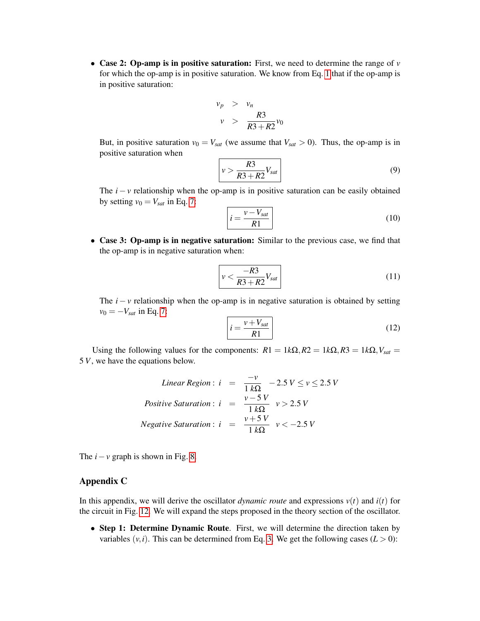• Case 2: Op-amp is in positive saturation: First, we need to determine the range of  $\nu$ for which the op-amp is in positive saturation. We know from Eq. [1](#page-2-2) that if the op-amp is in positive saturation:

$$
\begin{array}{rcl}\nv_p > & v_n \\
v > & \frac{R3}{R3 + R2}v_0\n\end{array}
$$

But, in positive saturation  $v_0 = V_{sat}$  (we assume that  $V_{sat} > 0$ ). Thus, the op-amp is in positive saturation when

$$
v > \frac{R3}{R3 + R2} V_{sat} \tag{9}
$$

The  $i - v$  relationship when the op-amp is in positive saturation can be easily obtained by setting  $v_0 = V_{sat}$  in Eq. [7:](#page-10-1)

$$
i = \frac{v - V_{sat}}{R1}
$$
 (10)

• Case 3: Op-amp is in negative saturation: Similar to the previous case, we find that the op-amp is in negative saturation when:

$$
v < \frac{-R3}{R3 + R2} V_{sat} \tag{11}
$$

The  $i - v$  relationship when the op-amp is in negative saturation is obtained by setting  $v_0 = -V_{\text{sat}}$  in Eq. [7:](#page-10-1)

$$
i = \frac{v + V_{sat}}{R1}
$$
 (12)

Using the following values for the components:  $R1 = 1k\Omega$ ,  $R2 = 1k\Omega$ ,  $R3 = 1k\Omega$ ,  $V_{sat} =$ 5 *V*, we have the equations below.

*Linear Region*: 
$$
i = \frac{-v}{1 k\Omega} - 2.5 V \le v \le 2.5 V
$$
  
*Positive Saturation*:  $i = \frac{v - 5 V}{1 k\Omega} v > 2.5 V$   
*Negative Saturation*:  $i = \frac{v + 5 V}{1 k\Omega} v < -2.5 V$ 

The  $i - v$  graph is shown in Fig. [8.](#page-5-1)

## Appendix C

<span id="page-11-0"></span>In this appendix, we will derive the oscillator *dynamic route* and expressions  $v(t)$  and  $i(t)$  for the circuit in Fig. [12.](#page-8-0) We will expand the steps proposed in the theory section of the oscillator.

• Step 1: Determine Dynamic Route. First, we will determine the direction taken by variables  $(v, i)$ . This can be determined from Eq. [3.](#page-8-1) We get the following cases  $(L > 0)$ :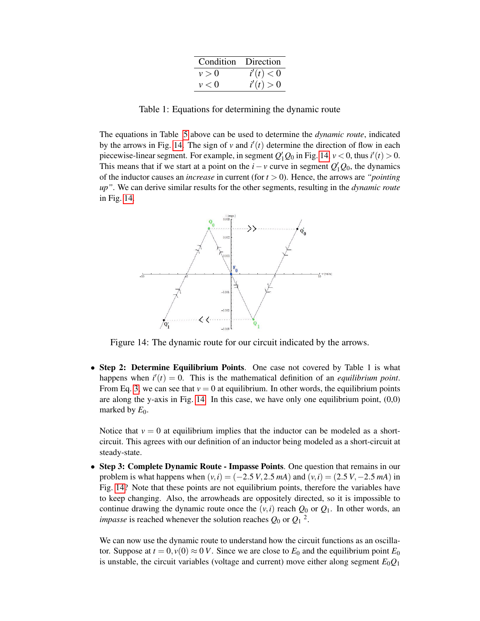| Condition Direction |           |
|---------------------|-----------|
| v > 0               | i'(t) < 0 |
| v < 0               | i'(t) > 0 |

Table 1: Equations for determining the dynamic route

The equations in Table [5](#page-11-0) above can be used to determine the *dynamic route*, indicated by the arrows in Fig. [14.](#page-12-0) The sign of  $v$  and  $i'(t)$  determine the direction of flow in each piecewise-linear segment. For example, in segment  $Q'_1 Q_0$  in Fig. [14,](#page-12-0)  $\nu < 0$ , thus  $i'(t) > 0$ . This means that if we start at a point on the *i* − *v* curve in segment  $Q'_1Q_0$ , the dynamics of the inductor causes an *increase* in current (for *t* > 0). Hence, the arrows are *"pointing up"*. We can derive similar results for the other segments, resulting in the *dynamic route* in Fig. [14.](#page-12-0)



<span id="page-12-0"></span>Figure 14: The dynamic route for our circuit indicated by the arrows.

• Step 2: Determine Equilibrium Points. One case not covered by Table 1 is what happens when  $i'(t) = 0$ . This is the mathematical definition of an *equilibrium point*. From Eq. [3,](#page-8-1) we can see that  $v = 0$  at equilibrium. In other words, the equilibrium points are along the y-axis in Fig.  $14$ . In this case, we have only one equilibrium point,  $(0,0)$ marked by  $E_0$ .

Notice that  $v = 0$  at equilibrium implies that the inductor can be modeled as a shortcircuit. This agrees with our definition of an inductor being modeled as a short-circuit at steady-state.

• Step 3: Complete Dynamic Route - Impasse Points. One question that remains in our problem is what happens when  $(v, i) = (-2.5 V, 2.5 mA)$  and  $(v, i) = (2.5 V, -2.5 mA)$  in Fig. [14?](#page-12-0) Note that these points are not equilibrium points, therefore the variables have to keep changing. Also, the arrowheads are oppositely directed, so it is impossible to continue drawing the dynamic route once the  $(v, i)$  reach  $Q_0$  or  $Q_1$ . In other words, an *impasse* is reached whenever the solution reaches  $Q_0$  or  $Q_1$ <sup>2</sup>.

We can now use the dynamic route to understand how the circuit functions as an oscillator. Suppose at  $t = 0$ ,  $v(0) \approx 0$  *V*. Since we are close to  $E_0$  and the equilibrium point  $E_0$ is unstable, the circuit variables (voltage and current) move either along segment  $E_0Q_1$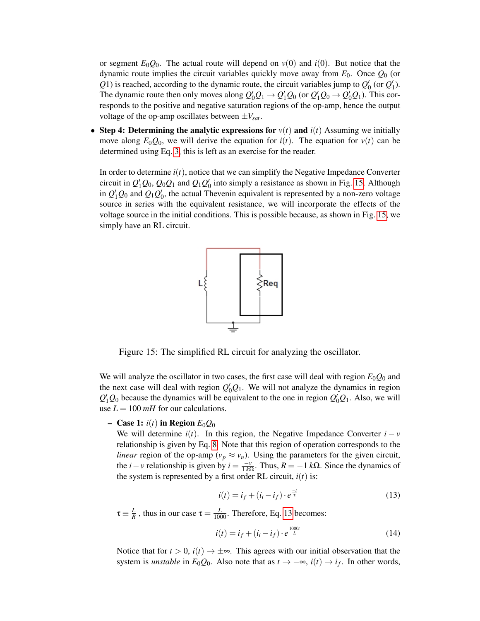or segment  $E_0Q_0$ . The actual route will depend on  $v(0)$  and  $i(0)$ . But notice that the dynamic route implies the circuit variables quickly move away from  $E_0$ . Once  $Q_0$  (or  $Q$ 1) is reached, according to the dynamic route, the circuit variables jump to  $Q'_{0}$  (or  $Q'_{1}$ ). The dynamic route then only moves along  $Q'_0Q_1 \rightarrow Q'_1Q_0$  (or  $Q'_1Q_0 \rightarrow Q'_0Q_1$ ). This corresponds to the positive and negative saturation regions of the op-amp, hence the output voltage of the op-amp oscillates between  $\pm V_{\text{sat}}$ .

• Step 4: Determining the analytic expressions for  $v(t)$  and  $i(t)$  Assuming we initially move along  $E_0Q_0$ , we will derive the equation for  $i(t)$ . The equation for  $v(t)$  can be determined using Eq. [3,](#page-8-1) this is left as an exercise for the reader.

In order to determine  $i(t)$ , notice that we can simplify the Negative Impedance Converter circuit in  $Q_1'Q_0$ ,  $Q_0Q_1$  and  $Q_1Q_0'$  into simply a resistance as shown in Fig. [15.](#page-13-0) Although in  $Q_1'Q_0$  and  $Q_1Q_0'$ , the actual Thevenin equivalent is represented by a non-zero voltage source in series with the equivalent resistance, we will incorporate the effects of the voltage source in the initial conditions. This is possible because, as shown in Fig. [15,](#page-13-0) we simply have an RL circuit.

<span id="page-13-0"></span>

Figure 15: The simplified RL circuit for analyzing the oscillator.

We will analyze the oscillator in two cases, the first case will deal with region  $E_0Q_0$  and the next case will deal with region  $Q'_0Q_1$ . We will not analyze the dynamics in region  $Q'_1Q_0$  because the dynamics will be equivalent to the one in region  $Q'_0Q_1$ . Also, we will use  $L = 100$  *mH* for our calculations.

## $-$  Case 1: *i*(*t*) in Region  $E_0Q_0$

We will determine  $i(t)$ . In this region, the Negative Impedance Converter  $i - v$ relationship is given by Eq. [8.](#page-10-2) Note that this region of operation corresponds to the *linear* region of the op-amp ( $v_p \approx v_n$ ). Using the parameters for the given circuit, the *i* − *v* relationship is given by *i* =  $\frac{-v}{1 kΩ}$ . Thus, *R* = −1 *k*Ω. Since the dynamics of the system is represented by a first order RL circuit,  $i(t)$  is:

<span id="page-13-1"></span>
$$
i(t) = i_f + (i_i - i_f) \cdot e^{\frac{-t}{\tau}}
$$
\n(13)

 $\tau \equiv \frac{L}{R}$  $\frac{L}{R}$ , thus in our case  $\tau = \frac{L}{1000}$ . Therefore, Eq. [13](#page-13-1) becomes:

$$
i(t) = i_f + (i_i - i_f) \cdot e^{\frac{1000t}{L}}
$$
\n(14)

Notice that for  $t > 0$ ,  $i(t) \rightarrow \pm \infty$ . This agrees with our initial observation that the system is *unstable* in  $E_0Q_0$ . Also note that as  $t \to -\infty$ ,  $i(t) \to i_f$ . In other words,